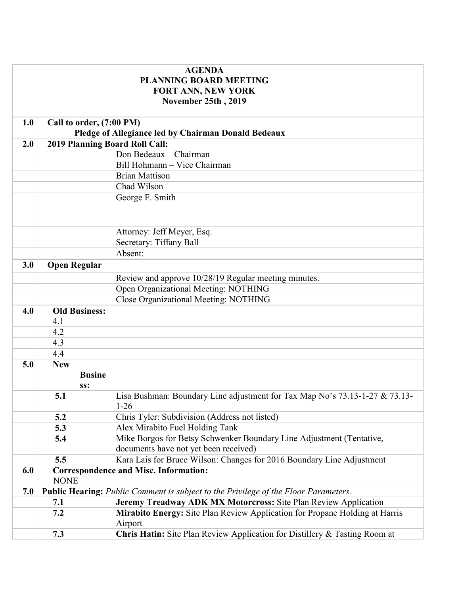| <b>AGENDA</b><br><b>PLANNING BOARD MEETING</b> |                                                                                       |                                                                                            |
|------------------------------------------------|---------------------------------------------------------------------------------------|--------------------------------------------------------------------------------------------|
|                                                |                                                                                       | <b>FORT ANN, NEW YORK</b><br>November 25th, 2019                                           |
|                                                |                                                                                       |                                                                                            |
| 1.0                                            | Call to order, (7:00 PM)                                                              |                                                                                            |
|                                                | Pledge of Allegiance led by Chairman Donald Bedeaux<br>2019 Planning Board Roll Call: |                                                                                            |
| 2.0                                            |                                                                                       |                                                                                            |
|                                                |                                                                                       | Don Bedeaux - Chairman                                                                     |
|                                                |                                                                                       | Bill Hohmann - Vice Chairman                                                               |
|                                                |                                                                                       | <b>Brian Mattison</b>                                                                      |
|                                                |                                                                                       | Chad Wilson                                                                                |
|                                                |                                                                                       | George F. Smith                                                                            |
|                                                |                                                                                       |                                                                                            |
|                                                |                                                                                       | Attorney: Jeff Meyer, Esq.                                                                 |
|                                                |                                                                                       | Secretary: Tiffany Ball                                                                    |
|                                                |                                                                                       | Absent:                                                                                    |
| 3.0                                            | <b>Open Regular</b>                                                                   |                                                                                            |
|                                                |                                                                                       | Review and approve 10/28/19 Regular meeting minutes.                                       |
|                                                |                                                                                       | Open Organizational Meeting: NOTHING                                                       |
|                                                |                                                                                       | Close Organizational Meeting: NOTHING                                                      |
| 4.0                                            | <b>Old Business:</b>                                                                  |                                                                                            |
|                                                | 4.1                                                                                   |                                                                                            |
|                                                | 4.2                                                                                   |                                                                                            |
|                                                | 4.3                                                                                   |                                                                                            |
|                                                | 4.4                                                                                   |                                                                                            |
| 5.0                                            | <b>New</b>                                                                            |                                                                                            |
|                                                | <b>Busine</b>                                                                         |                                                                                            |
|                                                | SS:                                                                                   |                                                                                            |
|                                                | 5.1                                                                                   | Lisa Bushman: Boundary Line adjustment for Tax Map No's 73.13-1-27 & 73.13-<br>$1-26$      |
|                                                | 5.2                                                                                   | Chris Tyler: Subdivision (Address not listed)                                              |
|                                                | 5.3                                                                                   | Alex Mirabito Fuel Holding Tank                                                            |
|                                                | 5.4                                                                                   | Mike Borgos for Betsy Schwenker Boundary Line Adjustment (Tentative,                       |
|                                                |                                                                                       | documents have not yet been received)                                                      |
|                                                | 5.5                                                                                   | Kara Lais for Bruce Wilson: Changes for 2016 Boundary Line Adjustment                      |
| 6.0                                            |                                                                                       | <b>Correspondence and Misc. Information:</b>                                               |
|                                                | <b>NONE</b>                                                                           |                                                                                            |
| 7.0                                            |                                                                                       | <b>Public Hearing:</b> Public Comment is subject to the Privilege of the Floor Parameters. |
|                                                | 7.1                                                                                   | Jeremy Treadway ADK MX Motorcross: Site Plan Review Application                            |
|                                                | 7.2                                                                                   | Mirabito Energy: Site Plan Review Application for Propane Holding at Harris                |
|                                                |                                                                                       | Airport                                                                                    |
|                                                | 7.3                                                                                   | Chris Hatin: Site Plan Review Application for Distillery & Tasting Room at                 |